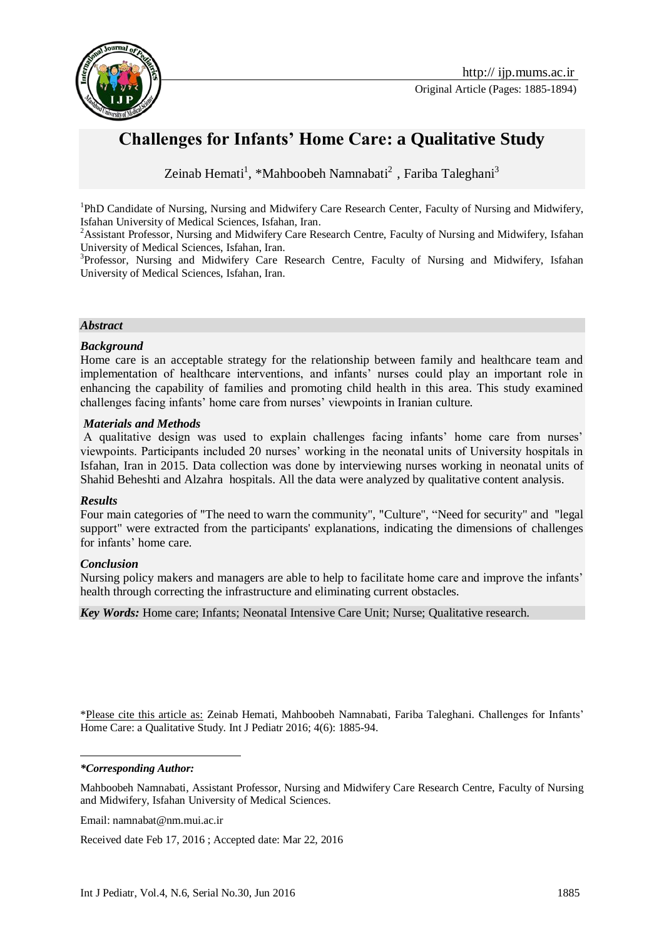

# **Challenges for Infants' Home Care: a Qualitative Study**

Zeinab Hemati<sup>1</sup>, \*Mahboobeh Namnabati<sup>2</sup>, Fariba Taleghani<sup>3</sup>

<sup>1</sup>PhD Candidate of Nursing, Nursing and Midwifery Care Research Center, Faculty of Nursing and Midwifery, Isfahan University of Medical Sciences, Isfahan, Iran.

<sup>2</sup>Assistant Professor, Nursing and Midwifery Care Research Centre, Faculty of Nursing and Midwifery, Isfahan University of Medical Sciences, Isfahan, Iran.

<sup>3</sup>Professor, Nursing and Midwifery Care Research Centre, Faculty of Nursing and Midwifery, Isfahan University of Medical Sciences, Isfahan, Iran.

#### *Abstract*

#### *Background*

Home care is an acceptable strategy for the relationship between family and healthcare team and implementation of healthcare interventions, and infants' nurses could play an important role in enhancing the capability of families and promoting child health in this area. This study examined challenges facing infants' home care from nurses' viewpoints in Iranian culture.

#### *Materials and Methods*

A qualitative design was used to explain challenges facing infants' home care from nurses' viewpoints. Participants included 20 nurses' working in the neonatal units of University hospitals in Isfahan, Iran in 2015. Data collection was done by interviewing nurses working in neonatal units of [Shahid Beheshti a](http://www.google.com/url?sa=t&rct=j&q=&esrc=s&frm=1&source=web&cd=1&cad=rja&uact=8&ved=0ahUKEwj5vOfO1rPMAhUFhywKHfmSBKUQFgghMAA&url=http%3A%2F%2Fwww.gfmer.ch%2FSRH-Course-2012%2Fparticipants%2FSalehi-Peyman.htm&usg=AFQjCNFVS04N8jQOoenCKdmXxuPdq5gE_w&bvm=bv.120853415,d.bGg)nd [Alzahra](http://www.google.com/url?sa=t&rct=j&q=&esrc=s&frm=1&source=web&cd=1&cad=rja&uact=8&sqi=2&ved=0ahUKEwjIxtbk1rPMAhUKWywKHWnuCaYQFggdMAA&url=http%3A%2F%2Falzahra.mui.ac.ir%2Fen%2F&usg=AFQjCNEbd9QTriYJR7yAEYD0UvRLOVfNHQ&bvm=bv.120853415,d.bGg) hospitals. All the data were analyzed by qualitative content analysis.

#### *Results*

Four main categories of "The need to warn the community", "Culture", "Need for security" and "legal support" were extracted from the participants' explanations, indicating the dimensions of challenges for infants' home care.

#### *Conclusion*

Nursing policy makers and managers are able to help to facilitate home care and improve the infants' health through correcting the infrastructure and eliminating current obstacles.

*Key Words:* Home care; Infants; Neonatal Intensive Care Unit; Nurse; Qualitative research.

\*Please cite this article as: Zeinab Hemati, Mahboobeh Namnabati, Fariba Taleghani. Challenges for Infants' Home Care: a Qualitative Study. Int J Pediatr 2016; 4(6): 1885-94.

*\*Corresponding Author:*

<u>.</u>

Mahboobeh Namnabati, Assistant Professor, Nursing and Midwifery Care Research Centre, Faculty of Nursing and Midwifery, Isfahan University of Medical Sciences.

Email: [namnabat@nm.mui.ac.ir](mailto:namnabat@nm.mui.ac.ir)

Received date Feb 17, 2016 ; Accepted date: Mar 22, 2016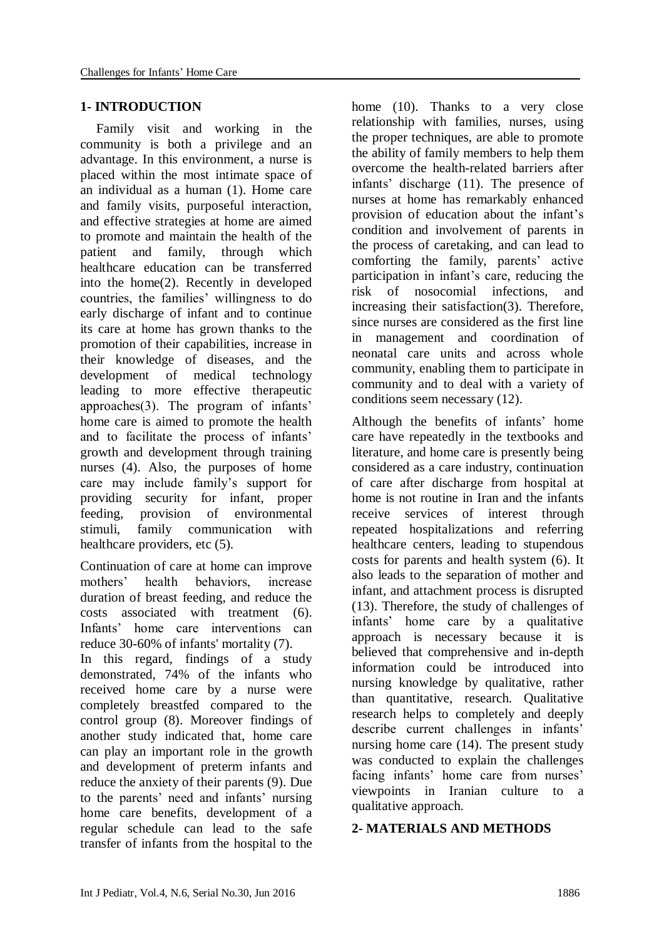# **1- INTRODUCTION**

Family visit and working in the community is both a privilege and an advantage. In this environment, a nurse is placed within the most intimate space of an individual as a human (1). Home care and family visits, purposeful interaction, and effective strategies at home are aimed to promote and maintain the health of the patient and family, through which healthcare education can be transferred into the home(2). Recently in developed countries, the families' willingness to do early discharge of infant and to continue its care at home has grown thanks to the promotion of their capabilities, increase in their knowledge of diseases, and the development of medical technology leading to more effective therapeutic approaches(3). The program of infants' home care is aimed to promote the health and to facilitate the process of infants' growth and development through training nurses (4). Also, the purposes of home care may include family's support for providing security for infant, proper feeding, provision of environmental stimuli, family communication with healthcare providers, etc (5).

Continuation of care at home can improve mothers' health behaviors, increase duration of breast feeding, and reduce the costs associated with treatment (6). Infants' home care interventions can reduce 30-60% of infants' mortality (7).

In this regard, findings of a study demonstrated, 74% of the infants who received home care by a nurse were completely breastfed compared to the control group (8). Moreover findings of another study indicated that, home care can play an important role in the growth and development of preterm infants and reduce the anxiety of their parents (9). Due to the parents' need and infants' nursing home care benefits, development of a regular schedule can lead to the safe transfer of infants from the hospital to the

home (10). Thanks to a very close relationship with families, nurses, using the proper techniques, are able to promote the ability of family members to help them overcome the health-related barriers after infants' discharge (11). The presence of nurses at home has remarkably enhanced provision of education about the infant's condition and involvement of parents in the process of caretaking, and can lead to comforting the family, parents' active participation in infant's care, reducing the risk of nosocomial infections, and increasing their satisfaction(3). Therefore, since nurses are considered as the first line in management and coordination of neonatal care units and across whole community, enabling them to participate in community and to deal with a variety of conditions seem necessary (12).

Although the benefits of infants' home care have repeatedly in the textbooks and literature, and home care is presently being considered as a care industry, continuation of care after discharge from hospital at home is not routine in Iran and the infants receive services of interest through repeated hospitalizations and referring healthcare centers, leading to stupendous costs for parents and health system (6). It also leads to the separation of mother and infant, and attachment process is disrupted (13). Therefore, the study of challenges of infants' home care by a qualitative approach is necessary because it is believed that comprehensive and in-depth information could be introduced into nursing knowledge by qualitative, rather than quantitative, research. Qualitative research helps to completely and deeply describe current challenges in infants' nursing home care (14). The present study was conducted to explain the challenges facing infants' home care from nurses' viewpoints in Iranian culture to a qualitative approach.

# **2- MATERIALS AND METHODS**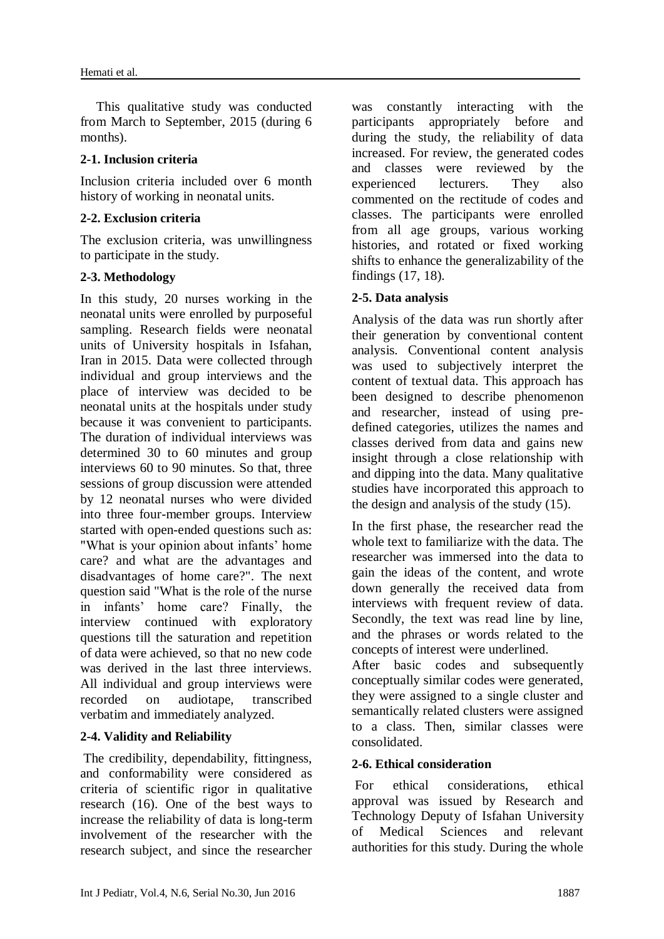This qualitative study was conducted from March to September, 2015 (during 6 months).

## **2-1. Inclusion criteria**

Inclusion criteria included over 6 month history of working in neonatal units.

# **2-2. Exclusion criteria**

The exclusion criteria, was unwillingness to participate in the study.

# **2-3. Methodology**

In this study, 20 nurses working in the neonatal units were enrolled by purposeful sampling. Research fields were neonatal units of University hospitals in Isfahan, Iran in 2015. Data were collected through individual and group interviews and the place of interview was decided to be neonatal units at the hospitals under study because it was convenient to participants. The duration of individual interviews was determined 30 to 60 minutes and group interviews 60 to 90 minutes. So that, three sessions of group discussion were attended by 12 neonatal nurses who were divided into three four-member groups. Interview started with open-ended questions such as: "What is your opinion about infants' home care? and what are the advantages and disadvantages of home care?". The next question said "What is the role of the nurse in infants' home care? Finally, the interview continued with exploratory questions till the saturation and repetition of data were achieved, so that no new code was derived in the last three interviews. All individual and group interviews were recorded on audiotape, transcribed verbatim and immediately analyzed.

# **2-4. Validity and Reliability**

The credibility, dependability, fittingness, and conformability were considered as criteria of scientific rigor in qualitative research (16). One of the best ways to increase the reliability of data is long-term involvement of the researcher with the research subject, and since the researcher was constantly interacting with the participants appropriately before and during the study, the reliability of data increased. For review, the generated codes and classes were reviewed by the experienced lecturers. They also commented on the rectitude of codes and classes. The participants were enrolled from all age groups, various working histories, and rotated or fixed working shifts to enhance the generalizability of the findings (17, 18).

# **2-5. Data analysis**

Analysis of the data was run shortly after their generation by conventional content analysis. Conventional content analysis was used to subjectively interpret the content of textual data. This approach has been designed to describe phenomenon and researcher, instead of using predefined categories, utilizes the names and classes derived from data and gains new insight through a close relationship with and dipping into the data. Many qualitative studies have incorporated this approach to the design and analysis of the study (15).

In the first phase, the researcher read the whole text to familiarize with the data. The researcher was immersed into the data to gain the ideas of the content, and wrote down generally the received data from interviews with frequent review of data. Secondly, the text was read line by line, and the phrases or words related to the concepts of interest were underlined.

After basic codes and subsequently conceptually similar codes were generated, they were assigned to a single cluster and semantically related clusters were assigned to a class. Then, similar classes were consolidated.

## **2-6. Ethical consideration**

For ethical considerations, ethical approval was issued by Research and Technology Deputy of Isfahan University of Medical Sciences and relevant authorities for this study. During the whole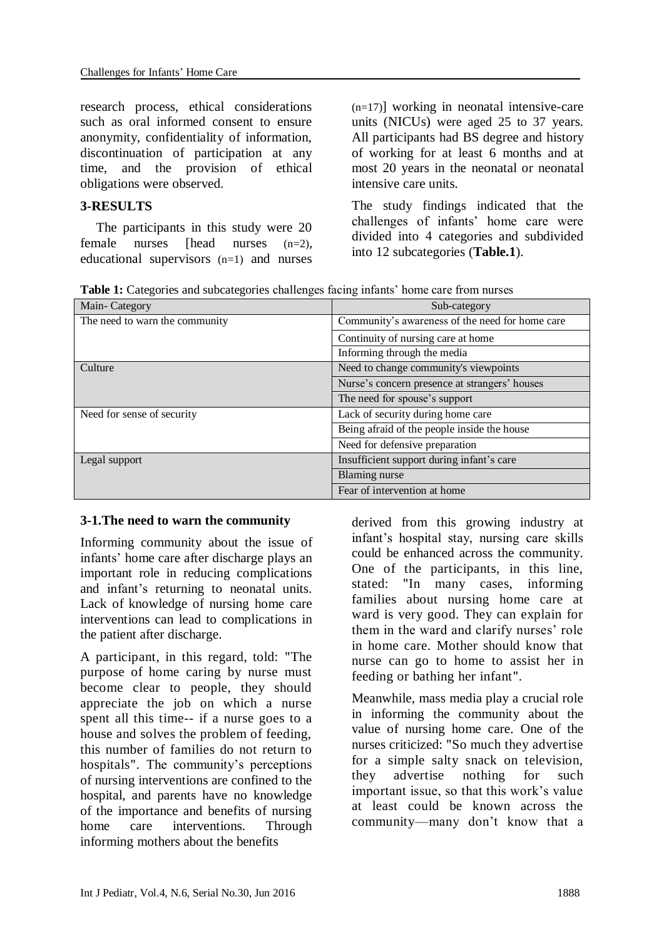research process, ethical considerations such as oral informed consent to ensure anonymity, confidentiality of information, discontinuation of participation at any time, and the provision of ethical obligations were observed.

## **3-RESULTS**

The participants in this study were 20 female nurses [head nurses (n=2), educational supervisors (n=1) and nurses

(n=17)] working in neonatal intensive-care units (NICUs) were aged 25 to 37 years. All participants had BS degree and history of working for at least 6 months and at most 20 years in the neonatal or neonatal intensive care units.

The study findings indicated that the challenges of infants' home care were divided into 4 categories and subdivided into 12 subcategories (**Table.1**).

**Table 1:** Categories and subcategories challenges facing infants' home care from nurses

| Main-Category                  | Sub-category                                    |
|--------------------------------|-------------------------------------------------|
| The need to warn the community | Community's awareness of the need for home care |
|                                | Continuity of nursing care at home              |
|                                | Informing through the media                     |
| Culture                        | Need to change community's viewpoints           |
|                                | Nurse's concern presence at strangers' houses   |
|                                | The need for spouse's support                   |
| Need for sense of security     | Lack of security during home care               |
|                                | Being afraid of the people inside the house     |
|                                | Need for defensive preparation                  |
| Legal support                  | Insufficient support during infant's care       |
|                                | Blaming nurse                                   |
|                                | Fear of intervention at home                    |

## **3-1.The need to warn the community**

Informing community about the issue of infants' home care after discharge plays an important role in reducing complications and infant's returning to neonatal units. Lack of knowledge of nursing home care interventions can lead to complications in the patient after discharge.

A participant, in this regard, told: "The purpose of home caring by nurse must become clear to people, they should appreciate the job on which a nurse spent all this time-- if a nurse goes to a house and solves the problem of feeding, this number of families do not return to hospitals". The community's perceptions of nursing interventions are confined to the hospital, and parents have no knowledge of the importance and benefits of nursing home care interventions. Through informing mothers about the benefits

derived from this growing industry at infant's hospital stay, nursing care skills could be enhanced across the community. One of the participants, in this line, stated: "In many cases, informing families about nursing home care at ward is very good. They can explain for them in the ward and clarify nurses' role in home care. Mother should know that nurse can go to home to assist her in feeding or bathing her infant".

Meanwhile, mass media play a crucial role in informing the community about the value of nursing home care. One of the nurses criticized: "So much they advertise for a simple salty snack on television, they advertise nothing for such important issue, so that this work's value at least could be known across the community—many don't know that a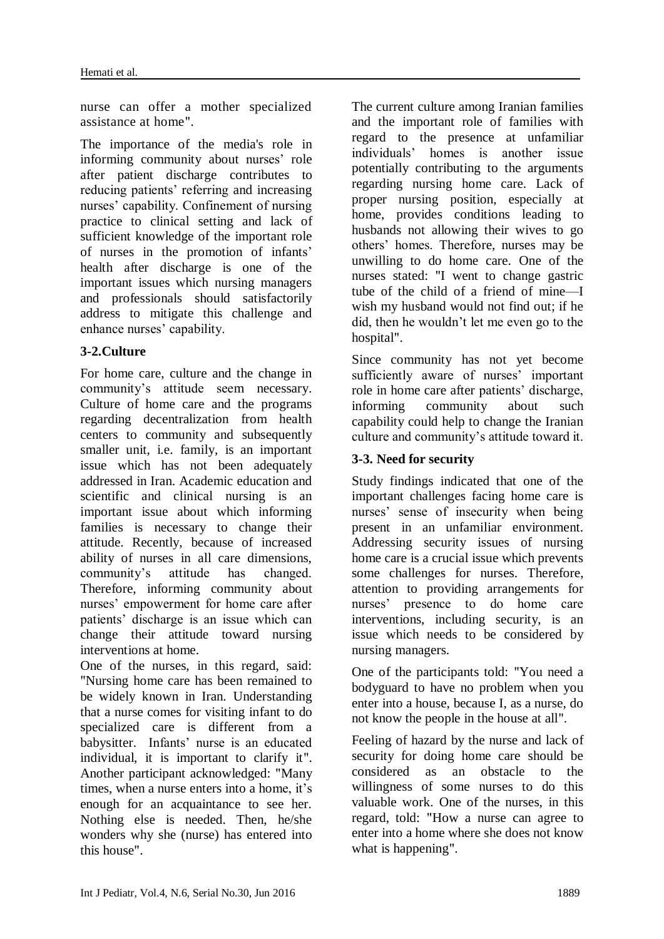nurse can offer a mother specialized assistance at home".

The importance of the media's role in informing community about nurses' role after patient discharge contributes to reducing patients' referring and increasing nurses' capability. Confinement of nursing practice to clinical setting and lack of sufficient knowledge of the important role of nurses in the promotion of infants' health after discharge is one of the important issues which nursing managers and professionals should satisfactorily address to mitigate this challenge and enhance nurses' capability.

# **3-2.Culture**

For home care, culture and the change in community's attitude seem necessary. Culture of home care and the programs regarding decentralization from health centers to community and subsequently smaller unit, i.e. family, is an important issue which has not been adequately addressed in Iran. Academic education and scientific and clinical nursing is an important issue about which informing families is necessary to change their attitude. Recently, because of increased ability of nurses in all care dimensions, community's attitude has changed. Therefore, informing community about nurses' empowerment for home care after patients' discharge is an issue which can change their attitude toward nursing interventions at home.

One of the nurses, in this regard, said: "Nursing home care has been remained to be widely known in Iran. Understanding that a nurse comes for visiting infant to do specialized care is different from a babysitter. Infants' nurse is an educated individual, it is important to clarify it". Another participant acknowledged: "Many times, when a nurse enters into a home, it's enough for an acquaintance to see her. Nothing else is needed. Then, he/she wonders why she (nurse) has entered into this house".

The current culture among Iranian families and the important role of families with regard to the presence at unfamiliar individuals' homes is another issue potentially contributing to the arguments regarding nursing home care. Lack of proper nursing position, especially at home, provides conditions leading to husbands not allowing their wives to go others' homes. Therefore, nurses may be unwilling to do home care. One of the nurses stated: "I went to change gastric tube of the child of a friend of mine—I wish my husband would not find out; if he did, then he wouldn't let me even go to the hospital".

Since community has not yet become sufficiently aware of nurses' important role in home care after patients' discharge, informing community about such capability could help to change the Iranian culture and community's attitude toward it.

# **3-3. Need for security**

Study findings indicated that one of the important challenges facing home care is nurses' sense of insecurity when being present in an unfamiliar environment. Addressing security issues of nursing home care is a crucial issue which prevents some challenges for nurses. Therefore, attention to providing arrangements for nurses' presence to do home care interventions, including security, is an issue which needs to be considered by nursing managers.

One of the participants told: "You need a bodyguard to have no problem when you enter into a house, because I, as a nurse, do not know the people in the house at all".

Feeling of hazard by the nurse and lack of security for doing home care should be considered as an obstacle to the willingness of some nurses to do this valuable work. One of the nurses, in this regard, told: "How a nurse can agree to enter into a home where she does not know what is happening".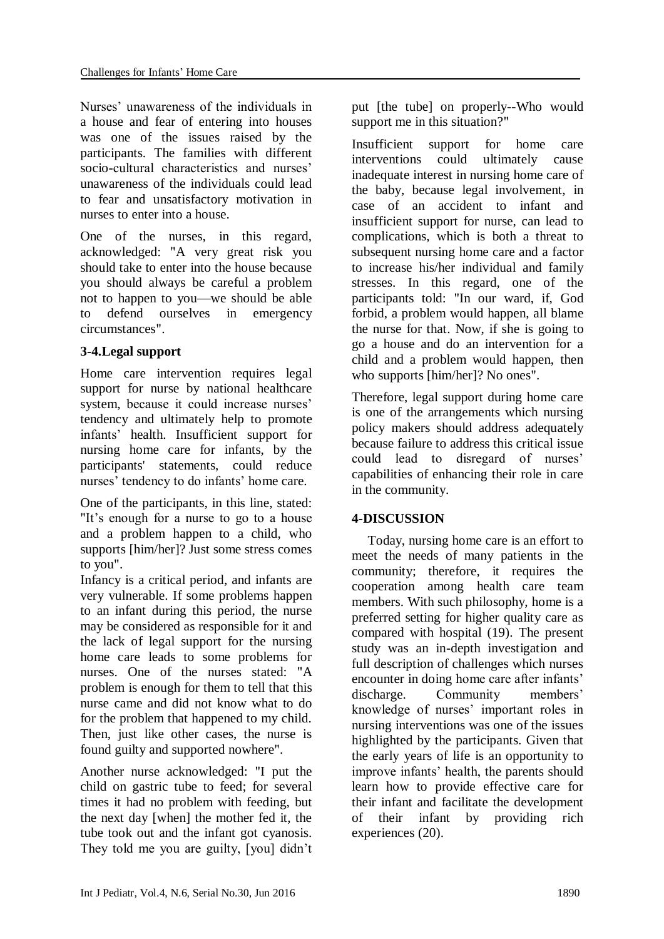Nurses' unawareness of the individuals in a house and fear of entering into houses was one of the issues raised by the participants. The families with different socio-cultural characteristics and nurses' unawareness of the individuals could lead to fear and unsatisfactory motivation in nurses to enter into a house.

One of the nurses, in this regard, acknowledged: "A very great risk you should take to enter into the house because you should always be careful a problem not to happen to you—we should be able to defend ourselves in emergency circumstances".

# **3-4.Legal support**

Home care intervention requires legal support for nurse by national healthcare system, because it could increase nurses' tendency and ultimately help to promote infants' health. Insufficient support for nursing home care for infants, by the participants' statements, could reduce nurses' tendency to do infants' home care.

One of the participants, in this line, stated: "It's enough for a nurse to go to a house and a problem happen to a child, who supports [him/her]? Just some stress comes to you".

Infancy is a critical period, and infants are very vulnerable. If some problems happen to an infant during this period, the nurse may be considered as responsible for it and the lack of legal support for the nursing home care leads to some problems for nurses. One of the nurses stated: "A problem is enough for them to tell that this nurse came and did not know what to do for the problem that happened to my child. Then, just like other cases, the nurse is found guilty and supported nowhere".

Another nurse acknowledged: "I put the child on gastric tube to feed; for several times it had no problem with feeding, but the next day [when] the mother fed it, the tube took out and the infant got cyanosis. They told me you are guilty, [you] didn't put [the tube] on properly--Who would support me in this situation?"

Insufficient support for home care interventions could ultimately cause inadequate interest in nursing home care of the baby, because legal involvement, in case of an accident to infant and insufficient support for nurse, can lead to complications, which is both a threat to subsequent nursing home care and a factor to increase his/her individual and family stresses. In this regard, one of the participants told: "In our ward, if, God forbid, a problem would happen, all blame the nurse for that. Now, if she is going to go a house and do an intervention for a child and a problem would happen, then who supports [him/her]? No ones".

Therefore, legal support during home care is one of the arrangements which nursing policy makers should address adequately because failure to address this critical issue could lead to disregard of nurses' capabilities of enhancing their role in care in the community.

# **4-DISCUSSION**

Today, nursing home care is an effort to meet the needs of many patients in the community; therefore, it requires the cooperation among health care team members. With such philosophy, home is a preferred setting for higher quality care as compared with hospital (19). The present study was an in-depth investigation and full description of challenges which nurses encounter in doing home care after infants' discharge. Community members' knowledge of nurses' important roles in nursing interventions was one of the issues highlighted by the participants. Given that the early years of life is an opportunity to improve infants' health, the parents should learn how to provide effective care for their infant and facilitate the development of their infant by providing rich experiences (20).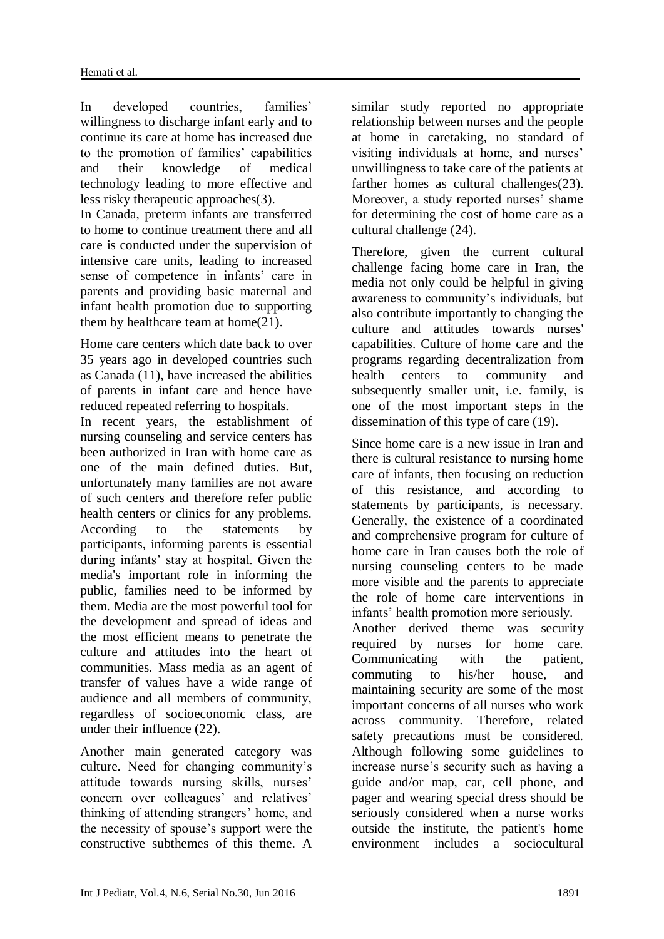In developed countries, families' willingness to discharge infant early and to continue its care at home has increased due to the promotion of families' capabilities and their knowledge of medical technology leading to more effective and less risky therapeutic approaches(3).

In Canada, preterm infants are transferred to home to continue treatment there and all care is conducted under the supervision of intensive care units, leading to increased sense of competence in infants' care in parents and providing basic maternal and infant health promotion due to supporting them by healthcare team at home(21).

Home care centers which date back to over 35 years ago in developed countries such as Canada (11), have increased the abilities of parents in infant care and hence have reduced repeated referring to hospitals.

In recent years, the establishment of nursing counseling and service centers has been authorized in Iran with home care as one of the main defined duties. But, unfortunately many families are not aware of such centers and therefore refer public health centers or clinics for any problems. According to the statements by participants, informing parents is essential during infants' stay at hospital. Given the media's important role in informing the public, families need to be informed by them. Media are the most powerful tool for the development and spread of ideas and the most efficient means to penetrate the culture and attitudes into the heart of communities. Mass media as an agent of transfer of values have a wide range of audience and all members of community, regardless of socioeconomic class, are under their influence (22).

Another main generated category was culture. Need for changing community's attitude towards nursing skills, nurses' concern over colleagues' and relatives' thinking of attending strangers' home, and the necessity of spouse's support were the constructive subthemes of this theme. A

similar study reported no appropriate relationship between nurses and the people at home in caretaking, no standard of visiting individuals at home, and nurses' unwillingness to take care of the patients at farther homes as cultural challenges(23). Moreover, a study reported nurses' shame for determining the cost of home care as a cultural challenge (24).

Therefore, given the current cultural challenge facing home care in Iran, the media not only could be helpful in giving awareness to community's individuals, but also contribute importantly to changing the culture and attitudes towards nurses' capabilities. Culture of home care and the programs regarding decentralization from health centers to community and subsequently smaller unit, i.e. family, is one of the most important steps in the dissemination of this type of care (19).

Since home care is a new issue in Iran and there is cultural resistance to nursing home care of infants, then focusing on reduction of this resistance, and according to statements by participants, is necessary. Generally, the existence of a coordinated and comprehensive program for culture of home care in Iran causes both the role of nursing counseling centers to be made more visible and the parents to appreciate the role of home care interventions in infants' health promotion more seriously. Another derived theme was security required by nurses for home care. Communicating with the patient, commuting to his/her house, and maintaining security are some of the most important concerns of all nurses who work across community. Therefore, related safety precautions must be considered. Although following some guidelines to increase nurse's security such as having a guide and/or map, car, cell phone, and pager and wearing special dress should be seriously considered when a nurse works outside the institute, the patient's home environment includes a sociocultural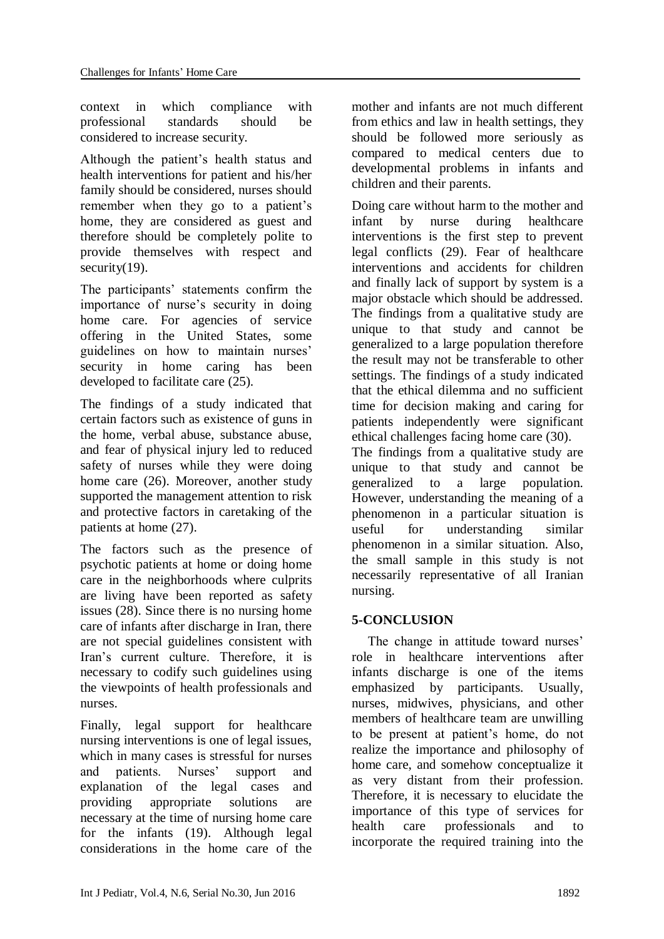context in which compliance with professional standards should be considered to increase security.

Although the patient's health status and health interventions for patient and his/her family should be considered, nurses should remember when they go to a patient's home, they are considered as guest and therefore should be completely polite to provide themselves with respect and security(19).

The participants' statements confirm the importance of nurse's security in doing home care. For agencies of service offering in the United States, some guidelines on how to maintain nurses' security in home caring has been developed to facilitate care (25).

The findings of a study indicated that certain factors such as existence of guns in the home, verbal abuse, substance abuse, and fear of physical injury led to reduced safety of nurses while they were doing home care (26). Moreover, another study supported the management attention to risk and protective factors in caretaking of the patients at home (27).

The factors such as the presence of psychotic patients at home or doing home care in the neighborhoods where culprits are living have been reported as safety issues (28). Since there is no nursing home care of infants after discharge in Iran, there are not special guidelines consistent with Iran's current culture. Therefore, it is necessary to codify such guidelines using the viewpoints of health professionals and nurses.

Finally, legal support for healthcare nursing interventions is one of legal issues, which in many cases is stressful for nurses and patients. Nurses' support and explanation of the legal cases and providing appropriate solutions are necessary at the time of nursing home care for the infants (19). Although legal considerations in the home care of the mother and infants are not much different from ethics and law in health settings, they should be followed more seriously as compared to medical centers due to developmental problems in infants and children and their parents.

Doing care without harm to the mother and infant by nurse during healthcare interventions is the first step to prevent legal conflicts (29). Fear of healthcare interventions and accidents for children and finally lack of support by system is a major obstacle which should be addressed. The findings from a qualitative study are unique to that study and cannot be generalized to a large population therefore the result may not be transferable to other settings. The findings of a study indicated that the ethical dilemma and no sufficient time for decision making and caring for patients independently were significant ethical challenges facing home care (30).

The findings from a qualitative study are unique to that study and cannot be generalized to a large population. However, understanding the meaning of a phenomenon in a particular situation is useful for understanding similar phenomenon in a similar situation. Also, the small sample in this study is not necessarily representative of all Iranian nursing.

# **5-CONCLUSION**

The change in attitude toward nurses' role in healthcare interventions after infants discharge is one of the items emphasized by participants. Usually, nurses, midwives, physicians, and other members of healthcare team are unwilling to be present at patient's home, do not realize the importance and philosophy of home care, and somehow conceptualize it as very distant from their profession. Therefore, it is necessary to elucidate the importance of this type of services for health care professionals and to incorporate the required training into the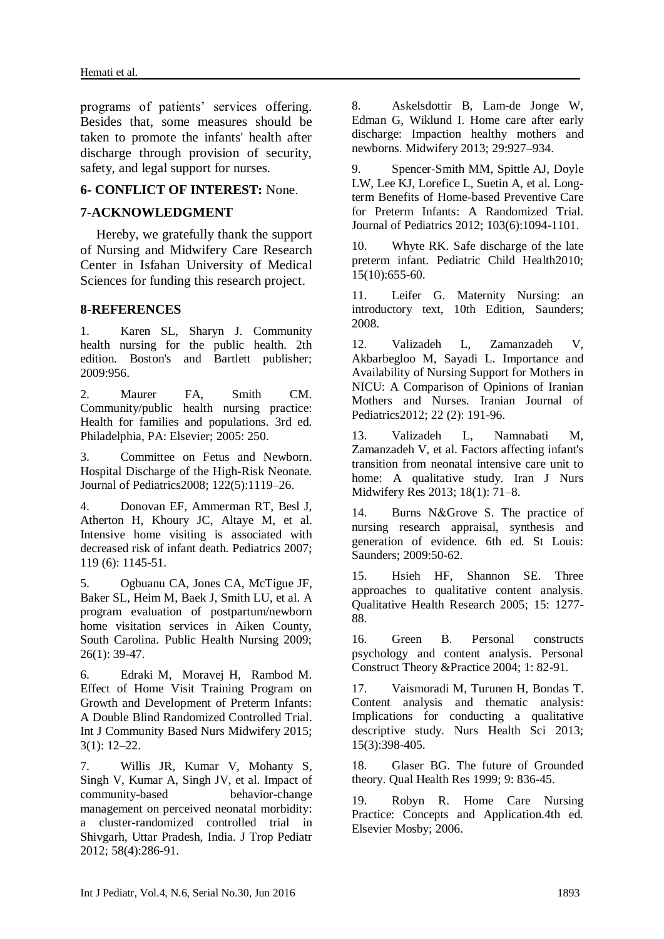programs of patients' services offering. Besides that, some measures should be taken to promote the infants' health after discharge through provision of security, safety, and legal support for nurses.

### **6- CONFLICT OF INTEREST:** None.

#### **7-ACKNOWLEDGMENT**

Hereby, we gratefully thank the support of Nursing and Midwifery Care Research Center in Isfahan University of Medical Sciences for funding this research project.

#### **8-REFERENCES**

1. Karen SL, Sharyn J. Community health nursing for the public health. 2th edition. Boston's and Bartlett publisher; 2009:956.

2. Maurer FA, Smith CM. Community/public health nursing practice: Health for families and populations. 3rd ed. Philadelphia, PA: Elsevier; 2005: 250.

3. Committee on Fetus and Newborn. Hospital Discharge of the High-Risk Neonate. Journal of Pediatrics2008; 122(5):1119–26.

4. Donovan EF, Ammerman RT, Besl J, Atherton H, Khoury JC, Altaye M, et al. Intensive home visiting is associated with decreased risk of infant death. Pediatrics 2007; 119 (6): 1145-51.

5. [Ogbuanu CA,](http://www.ncbi.nlm.nih.gov/pubmed/?term=Ogbuanu%20CA%5BAuthor%5D&cauthor=true&cauthor_uid=19154191) [Jones CA,](http://www.ncbi.nlm.nih.gov/pubmed/?term=Jones%20CA%5BAuthor%5D&cauthor=true&cauthor_uid=19154191) [McTigue JF,](http://www.ncbi.nlm.nih.gov/pubmed/?term=McTigue%20JF%5BAuthor%5D&cauthor=true&cauthor_uid=19154191) [Baker SL,](http://www.ncbi.nlm.nih.gov/pubmed/?term=Baker%20SL%5BAuthor%5D&cauthor=true&cauthor_uid=19154191) [Heim M,](http://www.ncbi.nlm.nih.gov/pubmed/?term=Heim%20M%5BAuthor%5D&cauthor=true&cauthor_uid=19154191) [Baek J,](http://www.ncbi.nlm.nih.gov/pubmed/?term=Baek%20J%5BAuthor%5D&cauthor=true&cauthor_uid=19154191) [Smith LU,](http://www.ncbi.nlm.nih.gov/pubmed/?term=Smith%20LU%5BAuthor%5D&cauthor=true&cauthor_uid=19154191) et al. A program evaluation of postpartum/newborn home visitation services in Aiken County, South Carolina. Public Health Nursing 2009; 26(1): 39-47.

6. Edraki M, [Moravej](http://www.ncbi.nlm.nih.gov/pubmed/?term=Moravej%20H%5Bauth%5D) H, [Rambod](http://www.ncbi.nlm.nih.gov/pubmed/?term=Rambod%20M%5Bauth%5D) M. Effect of Home Visit Training Program on Growth and Development of Preterm Infants: A Double Blind Randomized Controlled Trial. Int J Community Based Nurs Midwifery 2015; 3(1): 12–22.

7. [Willis JR,](http://www.ncbi.nlm.nih.gov/pubmed/?term=Willis%20JR%5BAuthor%5D&cauthor=true&cauthor_uid=22147281) [Kumar V,](http://www.ncbi.nlm.nih.gov/pubmed/?term=Kumar%20V%5BAuthor%5D&cauthor=true&cauthor_uid=22147281) [Mohanty S,](http://www.ncbi.nlm.nih.gov/pubmed/?term=Mohanty%20S%5BAuthor%5D&cauthor=true&cauthor_uid=22147281) [Singh V,](http://www.ncbi.nlm.nih.gov/pubmed/?term=Singh%20V%5BAuthor%5D&cauthor=true&cauthor_uid=22147281) [Kumar A,](http://www.ncbi.nlm.nih.gov/pubmed/?term=Kumar%20A%5BAuthor%5D&cauthor=true&cauthor_uid=22147281) [Singh JV,](http://www.ncbi.nlm.nih.gov/pubmed/?term=Singh%20JV%5BAuthor%5D&cauthor=true&cauthor_uid=22147281) et al. Impact of community-based behavior-change management on perceived neonatal morbidity: a cluster-randomized controlled trial in Shivgarh, Uttar Pradesh, India. [J Trop Pediatr](http://www.ncbi.nlm.nih.gov/pubmed/?term=Effect+of+community-based+behavior+change+management+on+neonatal+mortality+in+Shivgarh%2C+Uttar+Pradesh%2C+India%3A+a+cluster-randomized+controlled+trial) 2012; 58(4):286-91.

8. [Askelsdottir B,](http://www.ncbi.nlm.nih.gov/pubmed/?term=Askelsdottir%20B%5BAuthor%5D&cauthor=true&cauthor_uid=23434021) [Lam-de Jonge W,](http://www.ncbi.nlm.nih.gov/pubmed/?term=Lam-de%20Jonge%20W%5BAuthor%5D&cauthor=true&cauthor_uid=23434021) [Edman G,](http://www.ncbi.nlm.nih.gov/pubmed/?term=Edman%20G%5BAuthor%5D&cauthor=true&cauthor_uid=23434021) [Wiklund I.](http://www.ncbi.nlm.nih.gov/pubmed/?term=Wiklund%20I%5BAuthor%5D&cauthor=true&cauthor_uid=23434021) Home care after early discharge: Impaction healthy mothers and newborns. Midwifery 2013; 29:927–934.

9. [Spencer-Smith MM,](http://www.ncbi.nlm.nih.gov/pubmed/?term=Spencer-Smith%20MM%5BAuthor%5D&cauthor=true&cauthor_uid=23129084) [Spittle AJ,](http://www.ncbi.nlm.nih.gov/pubmed/?term=Spittle%20AJ%5BAuthor%5D&cauthor=true&cauthor_uid=23129084) [Doyle](http://www.ncbi.nlm.nih.gov/pubmed/?term=Doyle%20LW%5BAuthor%5D&cauthor=true&cauthor_uid=23129084)  [LW,](http://www.ncbi.nlm.nih.gov/pubmed/?term=Doyle%20LW%5BAuthor%5D&cauthor=true&cauthor_uid=23129084) [Lee KJ,](http://www.ncbi.nlm.nih.gov/pubmed/?term=Lee%20KJ%5BAuthor%5D&cauthor=true&cauthor_uid=23129084) [Lorefice L,](http://www.ncbi.nlm.nih.gov/pubmed/?term=Lorefice%20L%5BAuthor%5D&cauthor=true&cauthor_uid=23129084) [Suetin A,](http://www.ncbi.nlm.nih.gov/pubmed/?term=Suetin%20A%5BAuthor%5D&cauthor=true&cauthor_uid=23129084) et al. Longterm Benefits of Home-based Preventive Care for Preterm Infants: A Randomized Trial. Journal of Pediatrics 2012; 103(6):1094-1101.

10. Whyte RK. Safe discharge of the late preterm infant. Pediatric Child Health2010; 15(10):655-60.

11. Leifer G. Maternity Nursing: an introductory text, 10th Edition, Saunders; 2008.

12. [Valizadeh L,](http://www.ncbi.nlm.nih.gov/pubmed/?term=Valizadeh%20L%5BAuthor%5D&cauthor=true&cauthor_uid=23056885) [Zamanzadeh V,](http://www.ncbi.nlm.nih.gov/pubmed/?term=Zamanzadeh%20V%5BAuthor%5D&cauthor=true&cauthor_uid=23056885) [Akbarbegloo M,](http://www.ncbi.nlm.nih.gov/pubmed/?term=Akbarbegloo%20M%5BAuthor%5D&cauthor=true&cauthor_uid=23056885) [Sayadi L.](http://www.ncbi.nlm.nih.gov/pubmed/?term=Sayadi%20L%5BAuthor%5D&cauthor=true&cauthor_uid=23056885) Importance and Availability of Nursing Support for Mothers in NICU: A Comparison of Opinions of Iranian Mothers and Nurses. Iranian Journal of Pediatrics2012; 22 (2): 191-96.

13. Valizadeh L, Namnabati M, Zamanzadeh V, et al. Factors affecting infant's transition from neonatal intensive care unit to home: A qualitative study. Iran J Nurs Midwifery Res 2013; 18(1): 71–8.

14. Burns N&Grove S. The practice of nursing research appraisal, synthesis and generation of evidence. 6th ed. St Louis: Saunders; 2009:50-62.

15. Hsieh HF, Shannon SE. Three approaches to qualitative content analysis. Qualitative Health Research 2005; 15: 1277- 88.

16. Green B. Personal constructs psychology and content analysis. Personal Construct Theory &Practice 2004; 1: 82-91.

17. [Vaismoradi M,](http://www.ncbi.nlm.nih.gov/pubmed/?term=Vaismoradi%20M%5BAuthor%5D&cauthor=true&cauthor_uid=23480423) [Turunen H,](http://www.ncbi.nlm.nih.gov/pubmed/?term=Turunen%20H%5BAuthor%5D&cauthor=true&cauthor_uid=23480423) [Bondas T.](http://www.ncbi.nlm.nih.gov/pubmed/?term=Bondas%20T%5BAuthor%5D&cauthor=true&cauthor_uid=23480423) Content analysis and thematic analysis: Implications for conducting a qualitative descriptive study. [Nurs Health Sci](http://www.ncbi.nlm.nih.gov/pubmed/23480423) 2013; 15(3):398-405.

18. Glaser BG. The future of Grounded theory. Qual Health Res 1999; 9: 836-45.

19. Robyn R. Home Care Nursing Practice: Concepts and Application.4th ed. Elsevier Mosby; 2006.